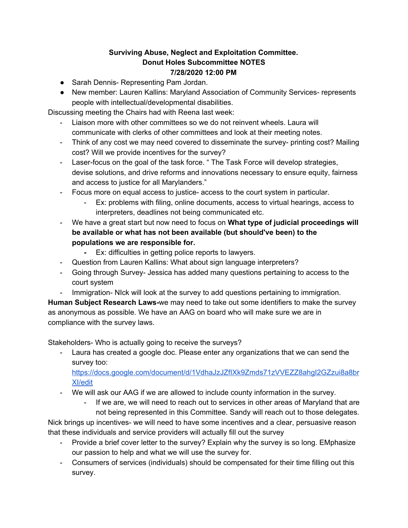## **Surviving Abuse, Neglect and Exploitation Committee. Donut Holes Subcommittee NOTES 7/28/2020 12:00 PM**

- Sarah Dennis- Representing Pam Jordan.
- New member: Lauren Kallins: Maryland Association of Community Services- represents people with intellectual/developmental disabilities.

Discussing meeting the Chairs had with Reena last week:

- Liaison more with other committees so we do not reinvent wheels. Laura will communicate with clerks of other committees and look at their meeting notes.
- Think of any cost we may need covered to disseminate the survey- printing cost? Mailing cost? Will we provide incentives for the survey?
- Laser-focus on the goal of the task force. " The Task Force will develop strategies, devise solutions, and drive reforms and innovations necessary to ensure equity, fairness and access to justice for all Marylanders."
- Focus more on equal access to justice- access to the court system in particular.
	- Ex: problems with filing, online documents, access to virtual hearings, access to interpreters, deadlines not being communicated etc.
- We have a great start but now need to focus on **What type of judicial proceedings will be available or what has not been available (but should've been) to the populations we are responsible for.**
	- **-** Ex: difficulties in getting police reports to lawyers.
- Question from Lauren Kallins: What about sign language interpreters?
- Going through Survey- Jessica has added many questions pertaining to access to the court system
- Immigration- NIck will look at the survey to add questions pertaining to immigration.

**Human Subject Research Laws-**we may need to take out some identifiers to make the survey as anonymous as possible. We have an AAG on board who will make sure we are in compliance with the survey laws.

Stakeholders- Who is actually going to receive the surveys?

- Laura has created a google doc. Please enter any organizations that we can send the survey too:

[https://docs.google.com/document/d/1VdhaJzJZfIXk9Zmds71zVVEZZ8ahgI2GZzui8a8br](https://docs.google.com/document/d/1VdhaJzJZfIXk9Zmds71zVVEZZ8ahgI2GZzui8a8brXI/edit) [XI/edit](https://docs.google.com/document/d/1VdhaJzJZfIXk9Zmds71zVVEZZ8ahgI2GZzui8a8brXI/edit)

- We will ask our AAG if we are allowed to include county information in the survey.
	- If we are, we will need to reach out to services in other areas of Maryland that are not being represented in this Committee. Sandy will reach out to those delegates.

Nick brings up incentives- we will need to have some incentives and a clear, persuasive reason that these individuals and service providers will actually fill out the survey

- Provide a brief cover letter to the survey? Explain why the survey is so long. EMphasize our passion to help and what we will use the survey for.
- Consumers of services (individuals) should be compensated for their time filling out this survey.